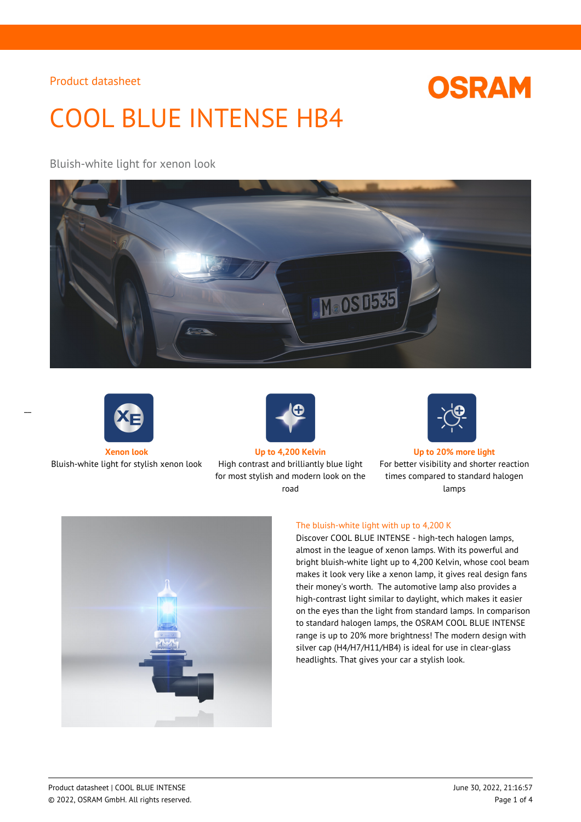# **OSRAM**

# COOL BLUE INTENSE HB4

### Bluish-white light for xenon look







Bluish-white light for stylish xenon look High contrast and brilliantly blue light for most stylish and modern look on the road



#### **Xenon look Up to 4,200 Kelvin Up to 20% more light**

For better visibility and shorter reaction times compared to standard halogen lamps



#### The bluish-white light with up to 4,200 K

Discover COOL BLUE INTENSE - high-tech halogen lamps, almost in the league of xenon lamps. With its powerful and bright bluish-white light up to 4,200 Kelvin, whose cool beam makes it look very like a xenon lamp, it gives real design fans their money's worth. The automotive lamp also provides a high-contrast light similar to daylight, which makes it easier on the eyes than the light from standard lamps. In comparison to standard halogen lamps, the OSRAM COOL BLUE INTENSE range is up to 20% more brightness! The modern design with silver cap (H4/H7/H11/HB4) is ideal for use in clear-glass headlights. That gives your car a stylish look.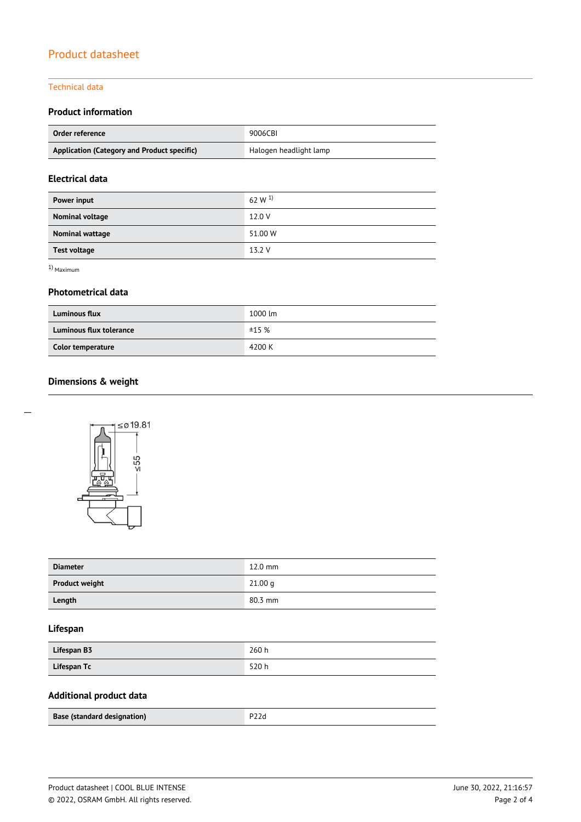#### Technical data

#### **Product information**

| Order reference                             | 9006CBI                |  |
|---------------------------------------------|------------------------|--|
| Application (Category and Product specific) | Halogen headlight lamp |  |

## **Electrical data**

| Power input         | 62 W $^{1)}$ |
|---------------------|--------------|
| Nominal voltage     | 12.0 V       |
| Nominal wattage     | 51.00 W      |
| <b>Test voltage</b> | 13.2 V       |

1) Maximum

#### **Photometrical data**

| <b>Luminous flux</b>    | 1000 lm |
|-------------------------|---------|
| Luminous flux tolerance | ±15%    |
| Color temperature       | 4200 K  |

# **Dimensions & weight**



| <b>Diameter</b>       | $12.0$ mm |
|-----------------------|-----------|
| <b>Product weight</b> | 21.00 g   |
| Length                | $80.3$ mm |

#### **Lifespan**

| Lifespan B3 | 260h |
|-------------|------|
| Lifespan Tc | 520h |

# **Additional product data**

| Base (standard designation) | P22d |
|-----------------------------|------|
|                             |      |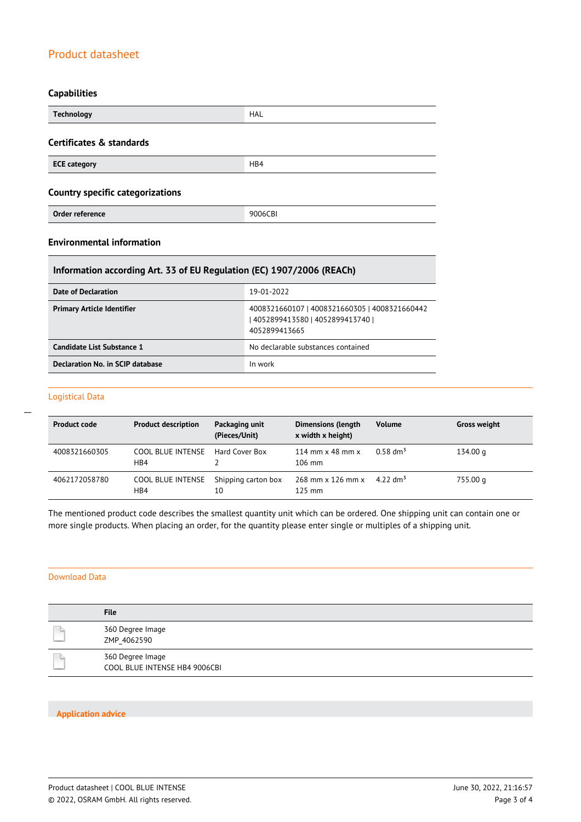#### **Capabilities**

| <b>Technology</b>                       | HAL     |  |
|-----------------------------------------|---------|--|
| Certificates & standards                |         |  |
| <b>ECE category</b>                     | HB4     |  |
| <b>Country specific categorizations</b> |         |  |
| Order reference                         | 9006CBI |  |

### **Environmental information**

#### **Information according Art. 33 of EU Regulation (EC) 1907/2006 (REACh)**

| Date of Declaration               | 19-01-2022                                                                                          |
|-----------------------------------|-----------------------------------------------------------------------------------------------------|
| <b>Primary Article Identifier</b> | 4008321660107   4008321660305   4008321660442<br>  4052899413580   4052899413740  <br>4052899413665 |
| Candidate List Substance 1        | No declarable substances contained                                                                  |
| Declaration No. in SCIP database  | In work                                                                                             |

#### Logistical Data

 $\overline{a}$ 

| <b>Product code</b> | <b>Product description</b>      | Packaging unit<br>(Pieces/Unit) | <b>Dimensions (length</b><br>x width x height)     | <b>Volume</b>          | <b>Gross weight</b> |
|---------------------|---------------------------------|---------------------------------|----------------------------------------------------|------------------------|---------------------|
| 4008321660305       | COOL BLUE INTENSE<br>HB4        | Hard Cover Box                  | 114 mm $\times$ 48 mm $\times$<br>$106 \text{ mm}$ | $0.58$ dm <sup>3</sup> | 134.00 g            |
| 4062172058780       | <b>COOL BLUE INTENSE</b><br>HB4 | Shipping carton box<br>10       | 268 mm x 126 mm x<br>$125$ mm                      | 4.22 dm <sup>3</sup>   | 755.00 g            |

The mentioned product code describes the smallest quantity unit which can be ordered. One shipping unit can contain one or more single products. When placing an order, for the quantity please enter single or multiples of a shipping unit.

#### Download Data

| <b>File</b>                                       |
|---------------------------------------------------|
| 360 Degree Image<br>ZMP 4062590                   |
| 360 Degree Image<br>COOL BLUE INTENSE HB4 9006CBI |

#### **Application advice**